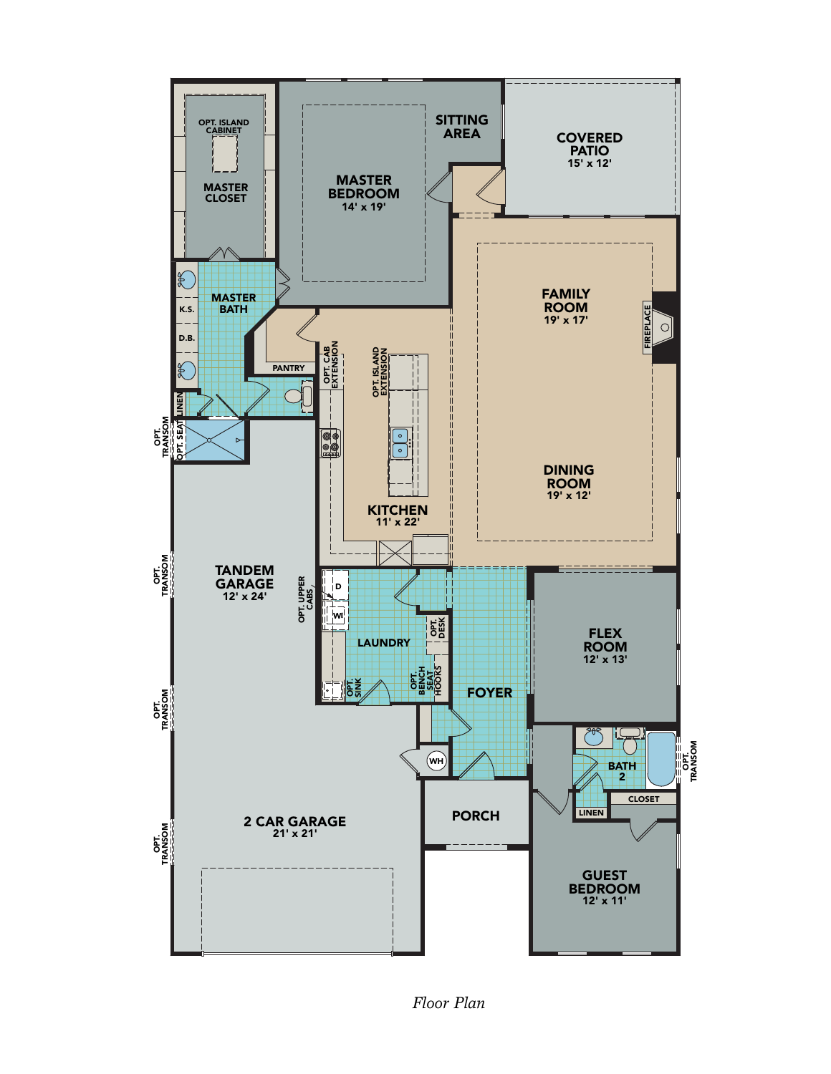

*Floor Plan*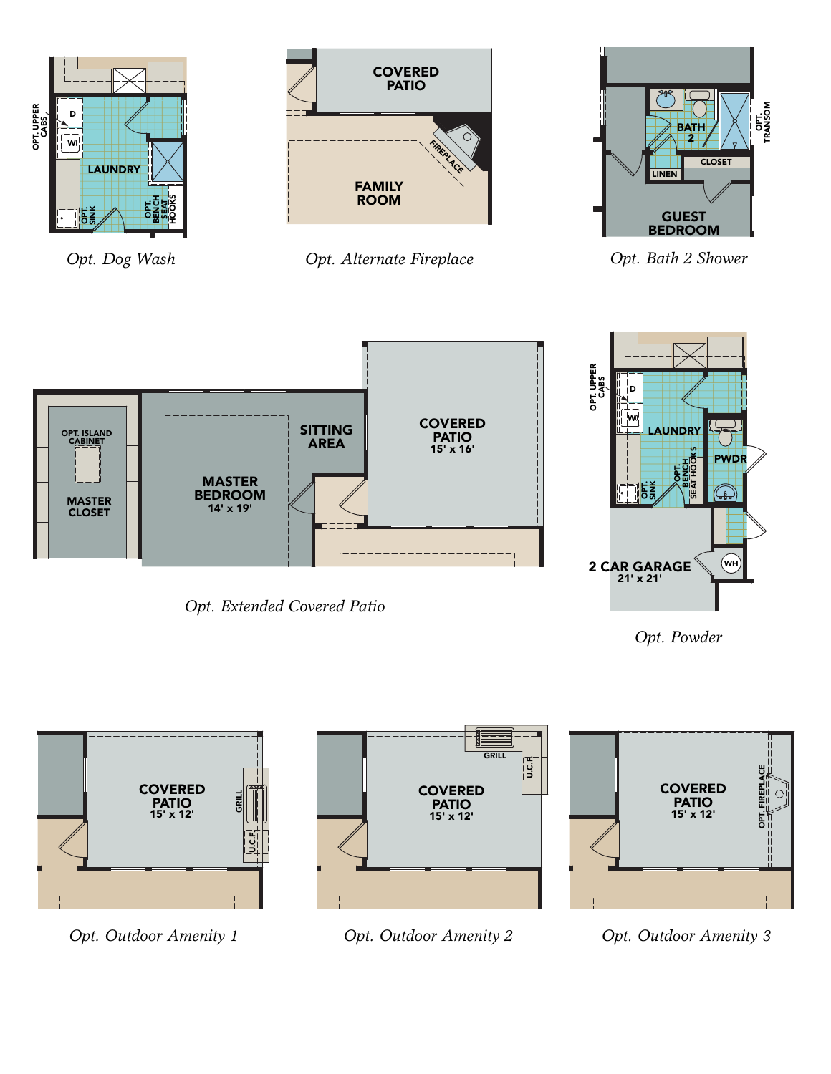



*Opt. Extended Covered Patio*

*Opt. Powder*



*Opt. Outdoor Amenity 1*

*Opt. Outdoor Amenity 2*

*Opt. Outdoor Amenity 3*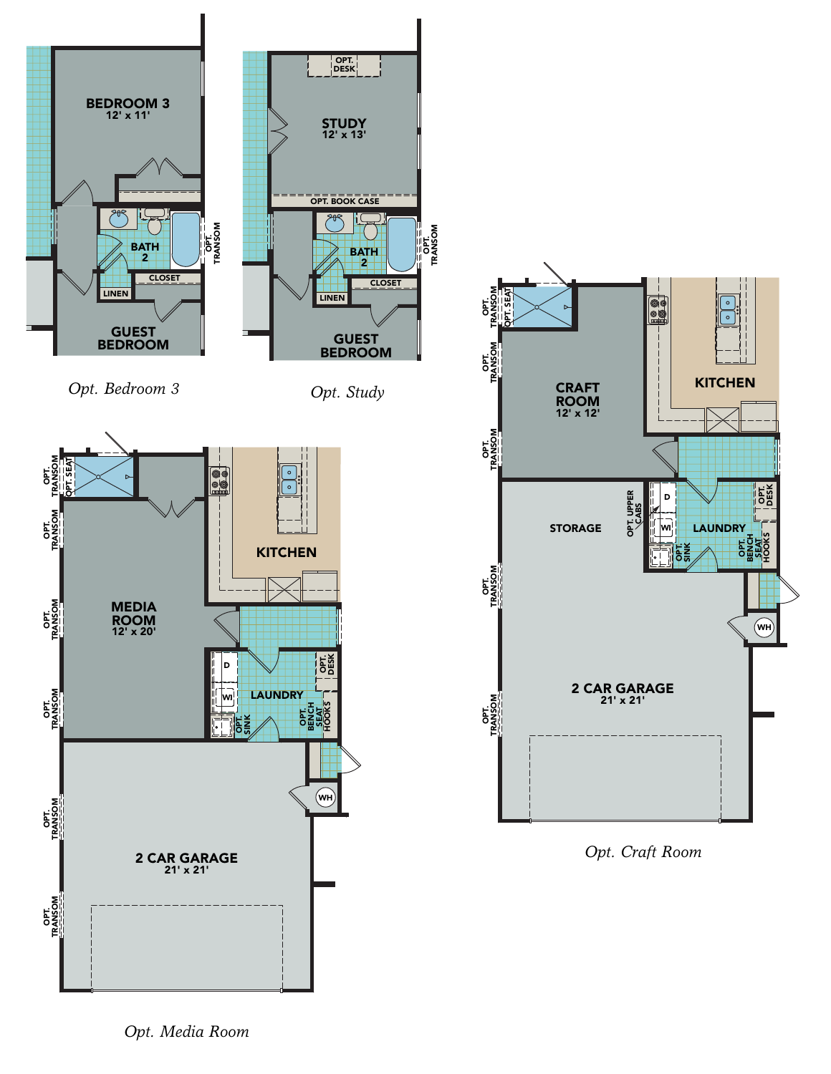

*Opt. Bedroom 3*

*Opt. Study*





*Opt. Craft Room*

*Opt. Media Room*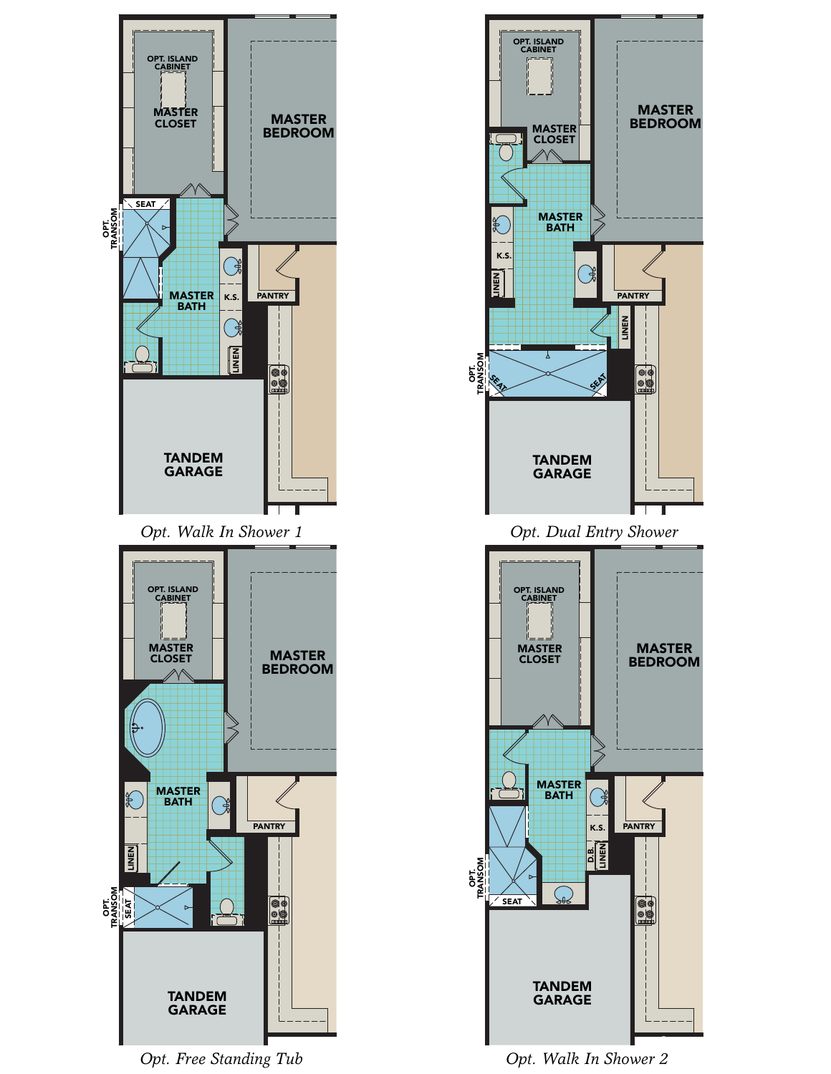

*Opt. Free Standing Tub*



*Opt. Walk In Shower 2*